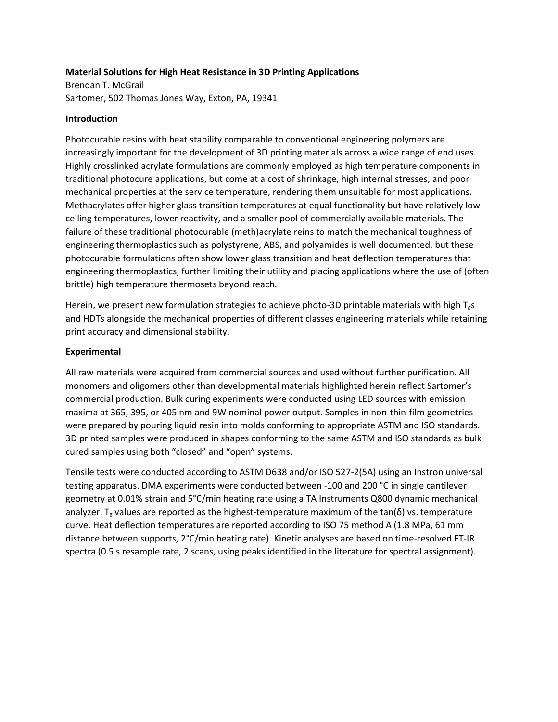## **Material Solutions for High Heat Resistance in 3D Printing Applications**

Brendan T. McGrail Sartomer, 502 Thomas Jones Way, Exton, PA, 19341

## **Introduction**

Photocurable resins with heat stability comparable to conventional engineering polymers are increasingly important for the development of 3D printing materials across a wide range of end uses. Highly crosslinked acrylate formulations are commonly employed as high temperature components in traditional photocure applications, but come at a cost of shrinkage, high internal stresses, and poor mechanical properties at the service temperature, rendering them unsuitable for most applications. Methacrylates offer higher glass transition temperatures at equal functionality but have relatively low ceiling temperatures, lower reactivity, and a smaller pool of commercially available materials. The failure of these traditional photocurable (meth)acrylate reins to match the mechanical toughness of engineering thermoplastics such as polystyrene, ABS, and polyamides is well documented, but these photocurable formulations often show lower glass transition and heat deflection temperatures that engineering thermoplastics, further limiting their utility and placing applications where the use of (often brittle) high temperature thermosets beyond reach.

Herein, we present new formulation strategies to achieve photo-3D printable materials with high  $T_gs$ and HDTs alongside the mechanical properties of different classes engineering materials while retaining print accuracy and dimensional stability.

## **Experimental**

All raw materials were acquired from commercial sources and used without further purification. All monomers and oligomers other than developmental materials highlighted herein reflect Sartomer's commercial production. Bulk curing experiments were conducted using LED sources with emission maxima at 365, 395, or 405 nm and 9W nominal power output. Samples in non-thin-film geometries were prepared by pouring liquid resin into molds conforming to appropriate ASTM and ISO standards. 3D printed samples were produced in shapes conforming to the same ASTM and ISO standards as bulk cured samples using both "closed" and "open" systems.

Tensile tests were conducted according to ASTM D638 and/or ISO 527-2(5A) using an Instron universal testing apparatus. DMA experiments were conducted between -100 and 200 °C in single cantilever geometry at 0.01% strain and 5°C/min heating rate using a TA Instruments Q800 dynamic mechanical analyzer. T<sub>g</sub> values are reported as the highest-temperature maximum of the tan( $\delta$ ) vs. temperature curve. Heat deflection temperatures are reported according to ISO 75 method A (1.8 MPa, 61 mm distance between supports, 2°C/min heating rate). Kinetic analyses are based on time-resolved FT-IR spectra (0.5 s resample rate, 2 scans, using peaks identified in the literature for spectral assignment).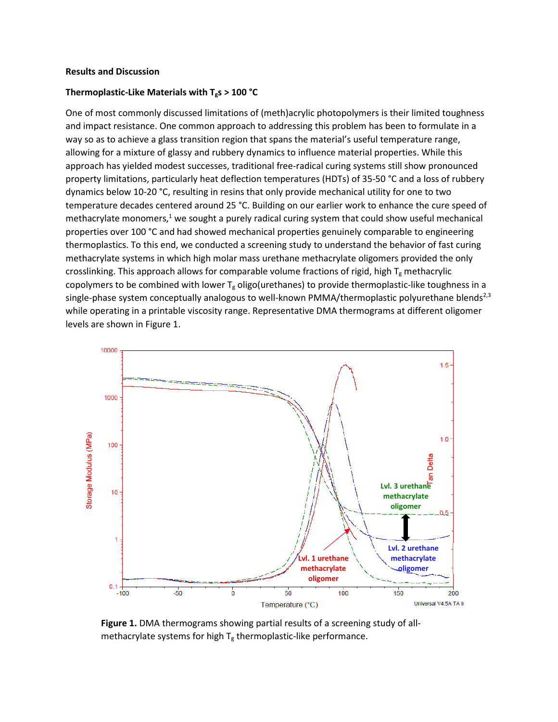#### **Results and Discussion**

#### **Thermoplastic-Like Materials with Tgs > 100 °C**

One of most commonly discussed limitations of (meth)acrylic photopolymers is their limited toughness and impact resistance. One common approach to addressing this problem has been to formulate in a way so as to achieve a glass transition region that spans the material's useful temperature range, allowing for a mixture of glassy and rubbery dynamics to influence material properties. While this approach has yielded modest successes, traditional free-radical curing systems still show pronounced property limitations, particularly heat deflection temperatures (HDTs) of 35-50 °C and a loss of rubbery dynamics below 10-20 °C, resulting in resins that only provide mechanical utility for one to two temperature decades centered around 25 °C. Building on our earlier work to enhance the cure speed of methacrylate monomers, $<sup>1</sup>$  we sought a purely radical curing system that could show useful mechanical</sup> properties over 100 °C and had showed mechanical properties genuinely comparable to engineering thermoplastics. To this end, we conducted a screening study to understand the behavior of fast curing methacrylate systems in which high molar mass urethane methacrylate oligomers provided the only crosslinking. This approach allows for comparable volume fractions of rigid, high  $T_g$  methacrylic copolymers to be combined with lower  $T_g$  oligo(urethanes) to provide thermoplastic-like toughness in a single-phase system conceptually analogous to well-known PMMA/thermoplastic polyurethane blends<sup>2,3</sup> while operating in a printable viscosity range. Representative DMA thermograms at different oligomer levels are shown in Figure 1.



**Figure 1.** DMA thermograms showing partial results of a screening study of allmethacrylate systems for high  $T_g$  thermoplastic-like performance.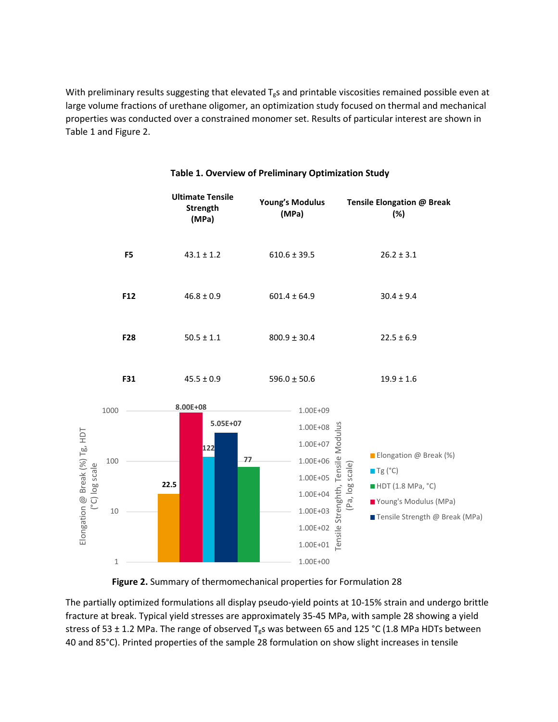With preliminary results suggesting that elevated  $T_gs$  and printable viscosities remained possible even at large volume fractions of urethane oligomer, an optimization study focused on thermal and mechanical properties was conducted over a constrained monomer set. Results of particular interest are shown in Table 1 and Figure 2.



## **Table 1. Overview of Preliminary Optimization Study**



The partially optimized formulations all display pseudo-yield points at 10-15% strain and undergo brittle fracture at break. Typical yield stresses are approximately 35-45 MPa, with sample 28 showing a yield stress of 53  $\pm$  1.2 MPa. The range of observed T<sub>g</sub>s was between 65 and 125 °C (1.8 MPa HDTs between 40 and 85°C). Printed properties of the sample 28 formulation on show slight increases in tensile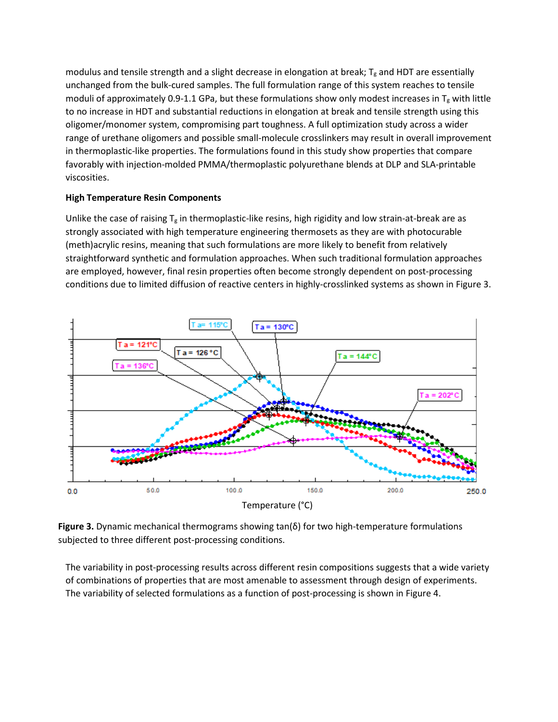modulus and tensile strength and a slight decrease in elongation at break;  $T_g$  and HDT are essentially unchanged from the bulk-cured samples. The full formulation range of this system reaches to tensile moduli of approximately 0.9-1.1 GPa, but these formulations show only modest increases in  $T_g$  with little to no increase in HDT and substantial reductions in elongation at break and tensile strength using this oligomer/monomer system, compromising part toughness. A full optimization study across a wider range of urethane oligomers and possible small-molecule crosslinkers may result in overall improvement in thermoplastic-like properties. The formulations found in this study show properties that compare favorably with injection-molded PMMA/thermoplastic polyurethane blends at DLP and SLA-printable viscosities.

# **High Temperature Resin Components**

Unlike the case of raising  $T_g$  in thermoplastic-like resins, high rigidity and low strain-at-break are as strongly associated with high temperature engineering thermosets as they are with photocurable (meth)acrylic resins, meaning that such formulations are more likely to benefit from relatively straightforward synthetic and formulation approaches. When such traditional formulation approaches are employed, however, final resin properties often become strongly dependent on post-processing conditions due to limited diffusion of reactive centers in highly-crosslinked systems as shown in Figure 3.



**Figure 3.** Dynamic mechanical thermograms showing tan(δ) for two high-temperature formulations subjected to three different post-processing conditions.

The variability in post-processing results across different resin compositions suggests that a wide variety of combinations of properties that are most amenable to assessment through design of experiments. The variability of selected formulations as a function of post-processing is shown in Figure 4.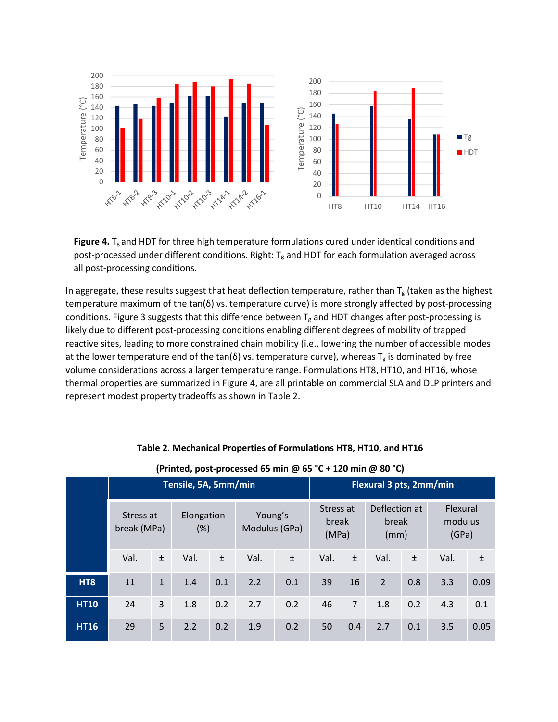

Figure 4. T<sub>g</sub> and HDT for three high temperature formulations cured under identical conditions and post-processed under different conditions. Right:  $T_g$  and HDT for each formulation averaged across all post-processing conditions.

In aggregate, these results suggest that heat deflection temperature, rather than  $T_g$  (taken as the highest temperature maximum of the tan(δ) vs. temperature curve) is more strongly affected by post-processing conditions. Figure 3 suggests that this difference between  $T_g$  and HDT changes after post-processing is likely due to different post-processing conditions enabling different degrees of mobility of trapped reactive sites, leading to more constrained chain mobility (i.e., lowering the number of accessible modes at the lower temperature end of the tan( $\delta$ ) vs. temperature curve), whereas T<sub>g</sub> is dominated by free volume considerations across a larger temperature range. Formulations HT8, HT10, and HT16, whose thermal properties are summarized in Figure 4, are all printable on commercial SLA and DLP printers and represent modest property tradeoffs as shown in Table 2.

|             | Tensile, 5A, 5mm/min     |              |                   |       |                          |       | Flexural 3 pts, 2mm/min     |                |                                |       |                              |       |  |
|-------------|--------------------------|--------------|-------------------|-------|--------------------------|-------|-----------------------------|----------------|--------------------------------|-------|------------------------------|-------|--|
|             | Stress at<br>break (MPa) |              | Elongation<br>(%) |       | Young's<br>Modulus (GPa) |       | Stress at<br>break<br>(MPa) |                | Deflection at<br>break<br>(mm) |       | Flexural<br>modulus<br>(GPa) |       |  |
|             | Val.                     | $\pm$        | Val.              | $\pm$ | Val.                     | $\pm$ | Val.                        | $\pm$          | Val.                           | $\pm$ | Val.                         | $\pm$ |  |
| HT8         | 11                       | $\mathbf{1}$ | 1.4               | 0.1   | 2.2                      | 0.1   | 39                          | 16             | $\overline{2}$                 | 0.8   | 3.3                          | 0.09  |  |
| <b>HT10</b> | 24                       | 3            | 1.8               | 0.2   | 2.7                      | 0.2   | 46                          | $\overline{7}$ | 1.8                            | 0.2   | 4.3                          | 0.1   |  |
| <b>HT16</b> | 29                       | 5            | 2.2               | 0.2   | 1.9                      | 0.2   | 50                          | 0.4            | 2.7                            | 0.1   | 3.5                          | 0.05  |  |

## **Table 2. Mechanical Properties of Formulations HT8, HT10, and HT16**

# **(Printed, post-processed 65 min @ 65 °C + 120 min @ 80 °C)**